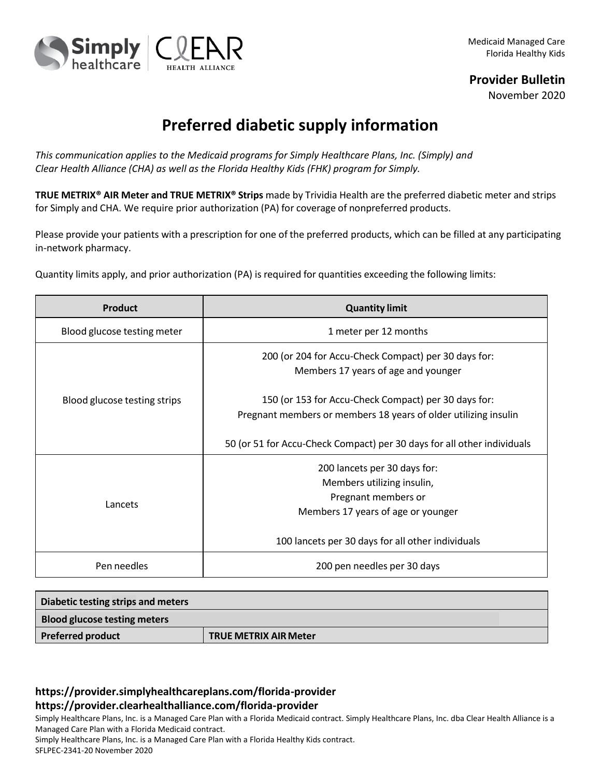

**Provider Bulletin**

November 2020

## **Preferred diabetic supply information**

*This communication applies to the Medicaid programs for Simply Healthcare Plans, Inc. (Simply) and Clear Health Alliance (CHA) as well as the Florida Healthy Kids (FHK) program for Simply.*

**TRUE METRIX® AIR Meter and TRUE METRIX® Strips** made by Trividia Health are the preferred diabetic meter and strips for Simply and CHA. We require prior authorization (PA) for coverage of nonpreferred products.

Please provide your patients with a prescription for one of the preferred products, which can be filled at any participating in-network pharmacy.

Quantity limits apply, and prior authorization (PA) is required for quantities exceeding the following limits:

| <b>Product</b>               | <b>Quantity limit</b>                                                                                                   |
|------------------------------|-------------------------------------------------------------------------------------------------------------------------|
| Blood glucose testing meter  | 1 meter per 12 months                                                                                                   |
| Blood glucose testing strips | 200 (or 204 for Accu-Check Compact) per 30 days for:<br>Members 17 years of age and younger                             |
|                              | 150 (or 153 for Accu-Check Compact) per 30 days for:<br>Pregnant members or members 18 years of older utilizing insulin |
|                              | 50 (or 51 for Accu-Check Compact) per 30 days for all other individuals                                                 |
| Lancets                      | 200 lancets per 30 days for:<br>Members utilizing insulin,<br>Pregnant members or<br>Members 17 years of age or younger |
|                              | 100 lancets per 30 days for all other individuals                                                                       |
| Pen needles                  | 200 pen needles per 30 days                                                                                             |

| Diabetic testing strips and meters  |                              |
|-------------------------------------|------------------------------|
| <b>Blood glucose testing meters</b> |                              |
| <b>Preferred product</b>            | <b>TRUE METRIX AIR Meter</b> |

## **https://provider.simplyhealthcareplans.com/florida-provider https://provider.clearhealthalliance.com/florida-provider**

Simply Healthcare Plans, Inc. is a Managed Care Plan with a Florida Medicaid contract. Simply Healthcare Plans, Inc. dba Clear Health Alliance is a Managed Care Plan with a Florida Medicaid contract.

Simply Healthcare Plans, Inc. is a Managed Care Plan with a Florida Healthy Kids contract.

SFLPEC-2341-20 November 2020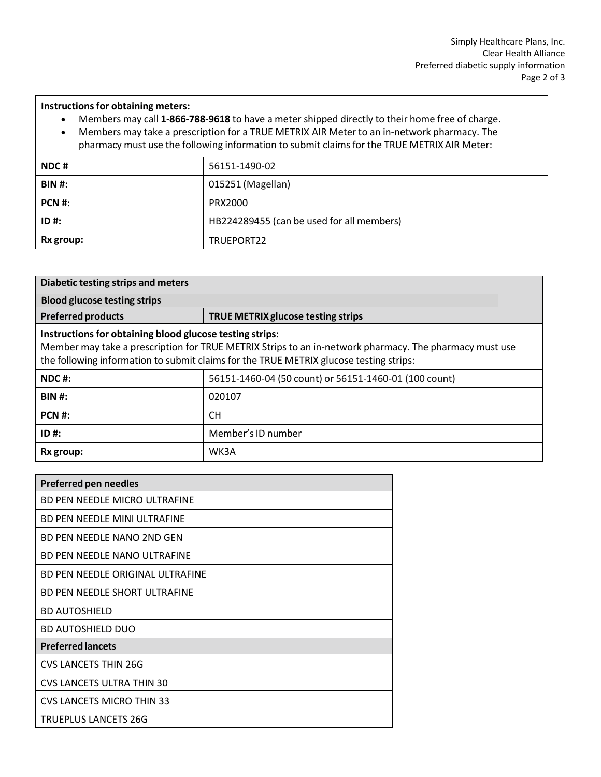## **Instructions for obtaining meters:**

- Members may call **1-866-788-9618** to have a meter shipped directly to their home free of charge.
- Members may take a prescription for a TRUE METRIXAIR Meter to an in-network pharmacy. The pharmacy must use the following information to submit claims for the TRUE METRIXAIR Meter:

| NDC#          | 56151-1490-02                             |
|---------------|-------------------------------------------|
| <b>BIN #:</b> | 015251 (Magellan)                         |
| PCN #:        | PRX2000                                   |
| $ID#$ :       | HB224289455 (can be used for all members) |
| Rx group:     | TRUEPORT22                                |

| Diabetic testing strips and meters                                                                                                                                                                                                                           |                                                       |  |
|--------------------------------------------------------------------------------------------------------------------------------------------------------------------------------------------------------------------------------------------------------------|-------------------------------------------------------|--|
| <b>Blood glucose testing strips</b>                                                                                                                                                                                                                          |                                                       |  |
| <b>Preferred products</b>                                                                                                                                                                                                                                    | TRUE METRIX glucose testing strips                    |  |
| Instructions for obtaining blood glucose testing strips:<br>Member may take a prescription for TRUE METRIX Strips to an in-network pharmacy. The pharmacy must use<br>the following information to submit claims for the TRUE METRIX glucose testing strips: |                                                       |  |
| $NDC$ #:                                                                                                                                                                                                                                                     | 56151-1460-04 (50 count) or 56151-1460-01 (100 count) |  |
| <b>BIN #:</b>                                                                                                                                                                                                                                                | 020107                                                |  |
| <b>PCN #:</b>                                                                                                                                                                                                                                                | <b>CH</b>                                             |  |
| $ID#$ :                                                                                                                                                                                                                                                      | Member's ID number                                    |  |
| Rx group:                                                                                                                                                                                                                                                    | WK3A                                                  |  |

| <b>Preferred pen needles</b>            |
|-----------------------------------------|
| <b>BD PEN NEEDLE MICRO ULTRAFINE</b>    |
| <b>BD PEN NEEDLE MINI ULTRAFINE</b>     |
| BD PEN NEEDLE NANO 2ND GEN              |
| BD PEN NEEDLE NANO ULTRAFINE            |
| <b>BD PEN NEEDLE ORIGINAL ULTRAFINE</b> |
| <b>BD PEN NEEDLE SHORT ULTRAFINE</b>    |
| <b>BD AUTOSHIELD</b>                    |
| <b>BD AUTOSHIELD DUO</b>                |
| <b>Preferred lancets</b>                |
| <b>CVS LANCETS THIN 26G</b>             |
| <b>CVS LANCETS ULTRA THIN 30</b>        |
| <b>CVS LANCETS MICRO THIN 33</b>        |
| TRUEPLUS LANCETS 26G                    |